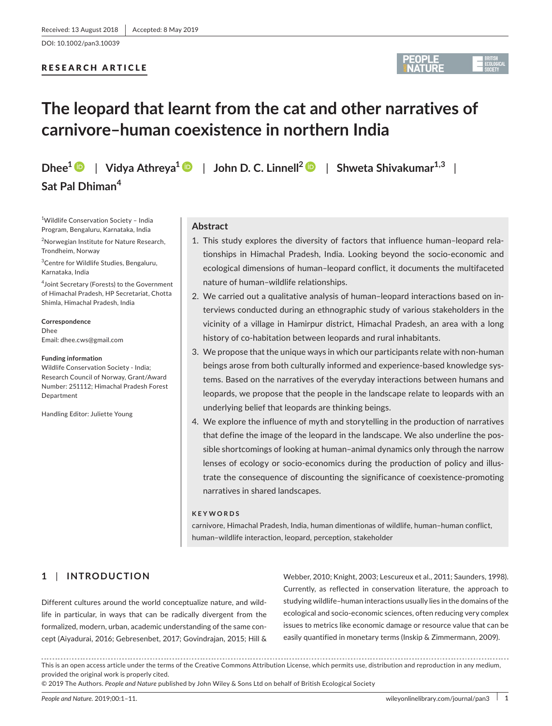# RESEARCH ARTICLE



# **The leopard that learnt from the cat and other narratives of carnivore–human coexistence in northern India**

**Dhee<sup>1</sup>** | **Vidya Athreya[1](https://orcid.org/0000-0003-4555-8473)** | **John D. C. Linnell[2](https://orcid.org/0000-0002-8370-5633)** | **Shweta Shivakumar1,3** | **Sat Pal Dhiman<sup>4</sup>**

1 Wildlife Conservation Society – India Program, Bengaluru, Karnataka, India <sup>2</sup>Norwegian Institute for Nature Research, Trondheim, Norway

3 Centre for Wildlife Studies, Bengaluru, Karnataka, India

4 Joint Secretary (Forests) to the Government of Himachal Pradesh, HP Secretariat, Chotta Shimla, Himachal Pradesh, India

**Correspondence** Dhee Email: [dhee.cws@gmail.com](mailto:dhee.cws@gmail.com)

#### **Funding information**

Wildlife Conservation Society ‐ India; Research Council of Norway, Grant/Award Number: 251112; Himachal Pradesh Forest **Department** 

Handling Editor: Juliette Young

## **Abstract**

- 1. This study explores the diversity of factors that influence human–leopard rela‐ tionships in Himachal Pradesh, India. Looking beyond the socio‐economic and ecological dimensions of human–leopard conflict, it documents the multifaceted nature of human–wildlife relationships.
- 2. We carried out a qualitative analysis of human–leopard interactions based on in‐ terviews conducted during an ethnographic study of various stakeholders in the vicinity of a village in Hamirpur district, Himachal Pradesh, an area with a long history of co-habitation between leopards and rural inhabitants.
- 3. We propose that the unique ways in which our participants relate with non‐human beings arose from both culturally informed and experience‐based knowledge sys‐ tems. Based on the narratives of the everyday interactions between humans and leopards, we propose that the people in the landscape relate to leopards with an underlying belief that leopards are thinking beings.
- 4. We explore the influence of myth and storytelling in the production of narratives that define the image of the leopard in the landscape. We also underline the pos‐ sible shortcomings of looking at human–animal dynamics only through the narrow lenses of ecology or socio-economics during the production of policy and illustrate the consequence of discounting the significance of coexistence‐promoting narratives in shared landscapes.

#### **KEYWORDS**

carnivore, Himachal Pradesh, India, human dimentionas of wildlife, human–human conflict, human–wildlife interaction, leopard, perception, stakeholder

# **1** | **INTRODUCTION**

Different cultures around the world conceptualize nature, and wild‐ life in particular, in ways that can be radically divergent from the formalized, modern, urban, academic understanding of the same con‐ cept (Aiyadurai, 2016; Gebresenbet, 2017; Govindrajan, 2015; Hill & Webber, 2010; Knight, 2003; Lescureux et al., 2011; Saunders, 1998). Currently, as reflected in conservation literature, the approach to studying wildlife–human interactions usually lies in the domains of the ecological and socio‐economic sciences, often reducing very complex issues to metrics like economic damage or resource value that can be easily quantified in monetary terms (Inskip & Zimmermann, 2009).

This is an open access article under the terms of the [Creative Commons Attribution](http://creativecommons.org/licenses/by/4.0/) License, which permits use, distribution and reproduction in any medium, provided the original work is properly cited.

© 2019 The Authors. *People and Nature* published by John Wiley & Sons Ltd on behalf of British Ecological Society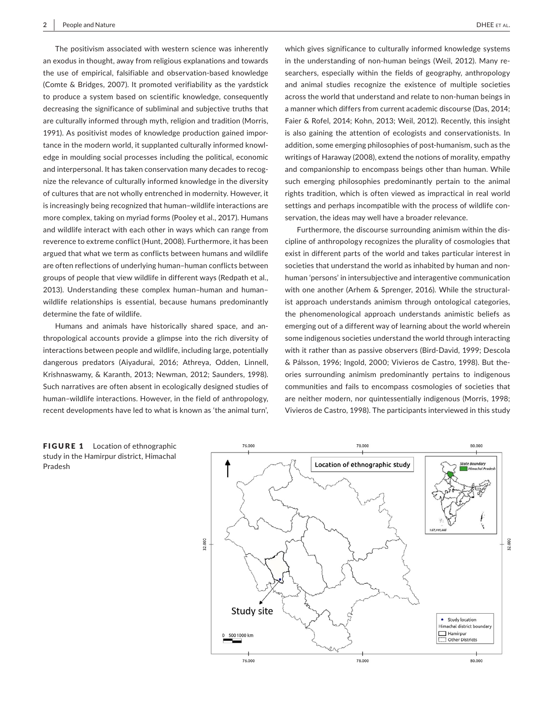The positivism associated with western science was inherently an exodus in thought, away from religious explanations and towards the use of empirical, falsifiable and observation‐based knowledge (Comte & Bridges, 2007). It promoted verifiability as the yardstick to produce a system based on scientific knowledge, consequently decreasing the significance of subliminal and subjective truths that are culturally informed through myth, religion and tradition (Morris, 1991). As positivist modes of knowledge production gained impor‐ tance in the modern world, it supplanted culturally informed knowl‐ edge in moulding social processes including the political, economic and interpersonal. It has taken conservation many decades to recognize the relevance of culturally informed knowledge in the diversity of cultures that are not wholly entrenched in modernity. However, it is increasingly being recognized that human–wildlife interactions are more complex, taking on myriad forms (Pooley et al., 2017). Humans and wildlife interact with each other in ways which can range from reverence to extreme conflict (Hunt, 2008). Furthermore, it has been argued that what we term as conflicts between humans and wildlife are often reflections of underlying human–human conflicts between groups of people that view wildlife in different ways (Redpath et al., 2013). Understanding these complex human–human and human– wildlife relationships is essential, because humans predominantly determine the fate of wildlife.

Humans and animals have historically shared space, and an‐ thropological accounts provide a glimpse into the rich diversity of interactions between people and wildlife, including large, potentially dangerous predators (Aiyadurai, 2016; Athreya, Odden, Linnell, Krishnaswamy, & Karanth, 2013; Newman, 2012; Saunders, 1998). Such narratives are often absent in ecologically designed studies of human–wildlife interactions. However, in the field of anthropology, recent developments have led to what is known as 'the animal turn',

which gives significance to culturally informed knowledge systems in the understanding of non-human beings (Weil, 2012). Many researchers, especially within the fields of geography, anthropology and animal studies recognize the existence of multiple societies across the world that understand and relate to non‐human beings in a manner which differs from current academic discourse (Das, 2014; Faier & Rofel, 2014; Kohn, 2013; Weil, 2012). Recently, this insight is also gaining the attention of ecologists and conservationists. In addition, some emerging philosophies of post-humanism, such as the writings of Haraway (2008), extend the notions of morality, empathy and companionship to encompass beings other than human. While such emerging philosophies predominantly pertain to the animal rights tradition, which is often viewed as impractical in real world settings and perhaps incompatible with the process of wildlife conservation, the ideas may well have a broader relevance.

Furthermore, the discourse surrounding animism within the dis‐ cipline of anthropology recognizes the plurality of cosmologies that exist in different parts of the world and takes particular interest in societies that understand the world as inhabited by human and nonhuman 'persons' in intersubjective and interagentive communication with one another (Arhem & Sprenger, 2016). While the structuralist approach understands animism through ontological categories, the phenomenological approach understands animistic beliefs as emerging out of a different way of learning about the world wherein some indigenous societies understand the world through interacting with it rather than as passive observers (Bird‐David, 1999; Descola & Pálsson, 1996; Ingold, 2000; Vivieros de Castro, 1998). But the‐ ories surrounding animism predominantly pertains to indigenous communities and fails to encompass cosmologies of societies that are neither modern, nor quintessentially indigenous (Morris, 1998; Vivieros de Castro, 1998). The participants interviewed in this study

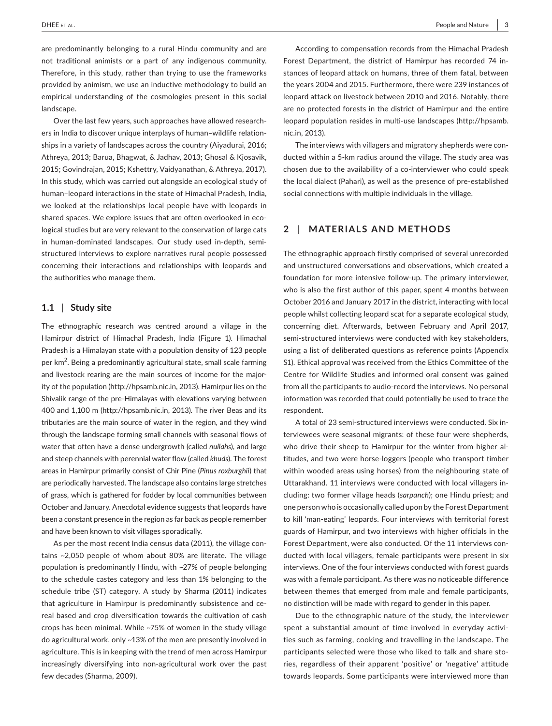are predominantly belonging to a rural Hindu community and are not traditional animists or a part of any indigenous community. Therefore, in this study, rather than trying to use the frameworks provided by animism, we use an inductive methodology to build an empirical understanding of the cosmologies present in this social landscape.

Over the last few years, such approaches have allowed research‐ ers in India to discover unique interplays of human-wildlife relationships in a variety of landscapes across the country (Aiyadurai, 2016; Athreya, 2013; Barua, Bhagwat, & Jadhav, 2013; Ghosal & Kjosavik, 2015; Govindrajan, 2015; Kshettry, Vaidyanathan, & Athreya, 2017). In this study, which was carried out alongside an ecological study of human–leopard interactions in the state of Himachal Pradesh, India, we looked at the relationships local people have with leopards in shared spaces. We explore issues that are often overlooked in ecological studies but are very relevant to the conservation of large cats in human-dominated landscapes. Our study used in-depth, semistructured interviews to explore narratives rural people possessed concerning their interactions and relationships with leopards and the authorities who manage them.

# **1.1** | **Study site**

The ethnographic research was centred around a village in the Hamirpur district of Himachal Pradesh, India (Figure 1). Himachal Pradesh is a Himalayan state with a population density of 123 people per km<sup>2</sup>. Being a predominantly agricultural state, small scale farming and livestock rearing are the main sources of income for the majority of the population [\(http://hpsamb.nic.in,](http://hpsamb.nic.in) 2013). Hamirpur lies on the Shivalik range of the pre‐Himalayas with elevations varying between 400 and 1,100 m (<http://hpsamb.nic.in>, 2013). The river Beas and its tributaries are the main source of water in the region, and they wind through the landscape forming small channels with seasonal flows of water that often have a dense undergrowth (called *nullahs*), and large and steep channels with perennial water flow (called *khuds*). The forest areas in Hamirpur primarily consist of Chir Pine (*Pinus roxburghii*) that are periodically harvested. The landscape also contains large stretches of grass, which is gathered for fodder by local communities between October and January. Anecdotal evidence suggests that leopards have been a constant presence in the region as far back as people remember and have been known to visit villages sporadically.

As per the most recent India census data (2011), the village con‐ tains ~2,050 people of whom about 80% are literate. The village population is predominantly Hindu, with ~27% of people belonging to the schedule castes category and less than 1% belonging to the schedule tribe (ST) category. A study by Sharma (2011) indicates that agriculture in Hamirpur is predominantly subsistence and ce‐ real based and crop diversification towards the cultivation of cash crops has been minimal. While ~75% of women in the study village do agricultural work, only ~13% of the men are presently involved in agriculture. This is in keeping with the trend of men across Hamirpur increasingly diversifying into non‐agricultural work over the past few decades (Sharma, 2009).

According to compensation records from the Himachal Pradesh Forest Department, the district of Hamirpur has recorded 74 in‐ stances of leopard attack on humans, three of them fatal, between the years 2004 and 2015. Furthermore, there were 239 instances of leopard attack on livestock between 2010 and 2016. Notably, there are no protected forests in the district of Hamirpur and the entire leopard population resides in multi‐use landscapes ([http://hpsamb.](http://hpsamb.nic.in) [nic.in](http://hpsamb.nic.in), 2013).

The interviews with villagers and migratory shepherds were con‐ ducted within a 5‐km radius around the village. The study area was chosen due to the availability of a co‐interviewer who could speak the local dialect (Pahari), as well as the presence of pre‐established social connections with multiple individuals in the village.

# **2** | **MATERIALS AND METHODS**

The ethnographic approach firstly comprised of several unrecorded and unstructured conversations and observations, which created a foundation for more intensive follow‐up. The primary interviewer, who is also the first author of this paper, spent 4 months between October 2016 and January 2017 in the district, interacting with local people whilst collecting leopard scat for a separate ecological study, concerning diet. Afterwards, between February and April 2017, semi-structured interviews were conducted with key stakeholders, using a list of deliberated questions as reference points (Appendix S1). Ethical approval was received from the Ethics Committee of the Centre for Wildlife Studies and informed oral consent was gained from all the participants to audio‐record the interviews. No personal information was recorded that could potentially be used to trace the respondent.

A total of 23 semi‐structured interviews were conducted. Six in‐ terviewees were seasonal migrants: of these four were shepherds, who drive their sheep to Hamirpur for the winter from higher altitudes, and two were horse‐loggers (people who transport timber within wooded areas using horses) from the neighbouring state of Uttarakhand. 11 interviews were conducted with local villagers in‐ cluding: two former village heads (*sarpanch*); one Hindu priest; and one person who is occasionally called upon by the Forest Department to kill 'man‐eating' leopards. Four interviews with territorial forest guards of Hamirpur, and two interviews with higher officials in the Forest Department, were also conducted. Of the 11 interviews con‐ ducted with local villagers, female participants were present in six interviews. One of the four interviews conducted with forest guards was with a female participant. As there was no noticeable difference between themes that emerged from male and female participants, no distinction will be made with regard to gender in this paper.

Due to the ethnographic nature of the study, the interviewer spent a substantial amount of time involved in everyday activi‐ ties such as farming, cooking and travelling in the landscape. The participants selected were those who liked to talk and share stories, regardless of their apparent 'positive' or 'negative' attitude towards leopards. Some participants were interviewed more than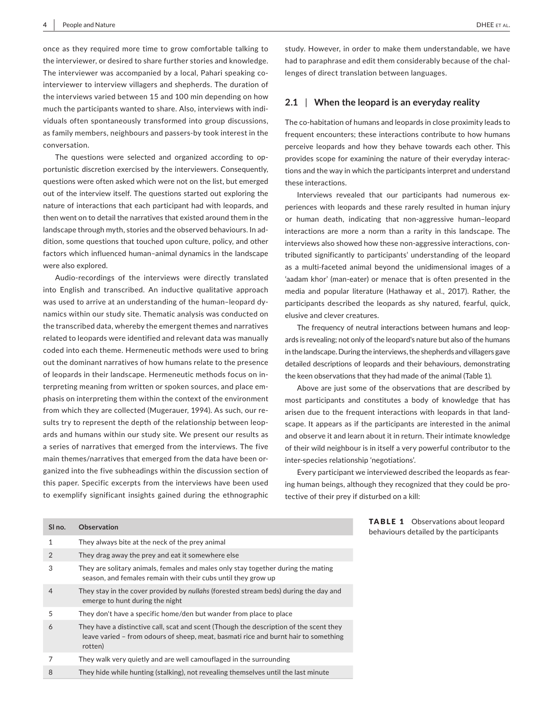once as they required more time to grow comfortable talking to the interviewer, or desired to share further stories and knowledge. The interviewer was accompanied by a local, Pahari speaking cointerviewer to interview villagers and shepherds. The duration of the interviews varied between 15 and 100 min depending on how much the participants wanted to share. Also, interviews with indi‐ viduals often spontaneously transformed into group discussions, as family members, neighbours and passers‐by took interest in the conversation.

The questions were selected and organized according to op‐ portunistic discretion exercised by the interviewers. Consequently, questions were often asked which were not on the list, but emerged out of the interview itself. The questions started out exploring the nature of interactions that each participant had with leopards, and then went on to detail the narratives that existed around them in the landscape through myth, stories and the observed behaviours. In ad‐ dition, some questions that touched upon culture, policy, and other factors which influenced human–animal dynamics in the landscape were also explored.

Audio‐recordings of the interviews were directly translated into English and transcribed. An inductive qualitative approach was used to arrive at an understanding of the human–leopard dy‐ namics within our study site. Thematic analysis was conducted on the transcribed data, whereby the emergent themes and narratives related to leopards were identified and relevant data was manually coded into each theme. Hermeneutic methods were used to bring out the dominant narratives of how humans relate to the presence of leopards in their landscape. Hermeneutic methods focus on in‐ terpreting meaning from written or spoken sources, and place em‐ phasis on interpreting them within the context of the environment from which they are collected (Mugerauer, 1994). As such, our re‐ sults try to represent the depth of the relationship between leopards and humans within our study site. We present our results as a series of narratives that emerged from the interviews. The five main themes/narratives that emerged from the data have been organized into the five subheadings within the discussion section of this paper. Specific excerpts from the interviews have been used to exemplify significant insights gained during the ethnographic

study. However, in order to make them understandable, we have had to paraphrase and edit them considerably because of the challenges of direct translation between languages.

# **2.1** | **When the leopard is an everyday reality**

The co-habitation of humans and leopards in close proximity leads to frequent encounters; these interactions contribute to how humans perceive leopards and how they behave towards each other. This provides scope for examining the nature of their everyday interactions and the way in which the participants interpret and understand these interactions.

Interviews revealed that our participants had numerous ex‐ periences with leopards and these rarely resulted in human injury or human death, indicating that non‐aggressive human–leopard interactions are more a norm than a rarity in this landscape. The interviews also showed how these non-aggressive interactions, contributed significantly to participants' understanding of the leopard as a multi-faceted animal beyond the unidimensional images of a 'aadam khor' (man‐eater) or menace that is often presented in the media and popular literature (Hathaway et al., 2017). Rather, the participants described the leopards as shy natured, fearful, quick, elusive and clever creatures.

The frequency of neutral interactions between humans and leop‐ ards is revealing; not only of the leopard's nature but also of the humans in the landscape. During the interviews, the shepherds and villagers gave detailed descriptions of leopards and their behaviours, demonstrating the keen observations that they had made of the animal (Table 1).

Above are just some of the observations that are described by most participants and constitutes a body of knowledge that has arisen due to the frequent interactions with leopards in that land‐ scape. It appears as if the participants are interested in the animal and observe it and learn about it in return. Their intimate knowledge of their wild neighbour is in itself a very powerful contributor to the inter‐species relationship 'negotiations'.

Every participant we interviewed described the leopards as fear‐ ing human beings, although they recognized that they could be pro‐ tective of their prey if disturbed on a kill:

| SI no. | <b>Observation</b>                                                                                                                                                                       |
|--------|------------------------------------------------------------------------------------------------------------------------------------------------------------------------------------------|
| 1      | They always bite at the neck of the prey animal                                                                                                                                          |
| 2      | They drag away the prey and eat it somewhere else                                                                                                                                        |
| 3      | They are solitary animals, females and males only stay together during the mating<br>season, and females remain with their cubs until they grow up                                       |
| 4      | They stay in the cover provided by nullahs (forested stream beds) during the day and<br>emerge to hunt during the night                                                                  |
| 5      | They don't have a specific home/den but wander from place to place                                                                                                                       |
| 6      | They have a distinctive call, scat and scent (Though the description of the scent they<br>leave varied – from odours of sheep, meat, basmati rice and burnt hair to something<br>rotten) |
|        | They walk very quietly and are well camouflaged in the surrounding                                                                                                                       |
| 8      | They hide while hunting (stalking), not revealing themselves until the last minute                                                                                                       |

**BLE 1** Observations about leopard viours detailed by the participants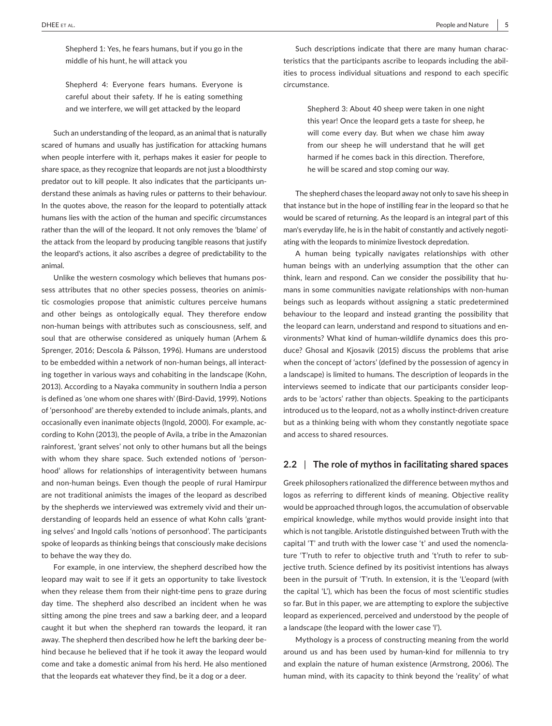Shepherd 1: Yes, he fears humans, but if you go in the middle of his hunt, he will attack you

Shepherd 4: Everyone fears humans. Everyone is careful about their safety. If he is eating something and we interfere, we will get attacked by the leopard

Such an understanding of the leopard, as an animal that is naturally scared of humans and usually has justification for attacking humans when people interfere with it, perhaps makes it easier for people to share space, as they recognize that leopards are not just a bloodthirsty predator out to kill people. It also indicates that the participants un‐ derstand these animals as having rules or patterns to their behaviour. In the quotes above, the reason for the leopard to potentially attack humans lies with the action of the human and specific circumstances rather than the will of the leopard. It not only removes the 'blame' of the attack from the leopard by producing tangible reasons that justify the leopard's actions, it also ascribes a degree of predictability to the animal.

Unlike the western cosmology which believes that humans pos‐ sess attributes that no other species possess, theories on animistic cosmologies propose that animistic cultures perceive humans and other beings as ontologically equal. They therefore endow non‐human beings with attributes such as consciousness, self, and soul that are otherwise considered as uniquely human (Arhem & Sprenger, 2016; Descola & Pálsson, 1996). Humans are understood to be embedded within a network of non-human beings, all interacting together in various ways and cohabiting in the landscape (Kohn, 2013). According to a Nayaka community in southern India a person is defined as 'one whom one shares with' (Bird‐David, 1999). Notions of 'personhood' are thereby extended to include animals, plants, and occasionally even inanimate objects (Ingold, 2000). For example, ac‐ cording to Kohn (2013), the people of Avila, a tribe in the Amazonian rainforest, 'grant selves' not only to other humans but all the beings with whom they share space. Such extended notions of 'personhood' allows for relationships of interagentivity between humans and non‐human beings. Even though the people of rural Hamirpur are not traditional animists the images of the leopard as described by the shepherds we interviewed was extremely vivid and their un‐ derstanding of leopards held an essence of what Kohn calls 'grant‐ ing selves' and Ingold calls 'notions of personhood'. The participants spoke of leopards as thinking beings that consciously make decisions to behave the way they do.

For example, in one interview, the shepherd described how the leopard may wait to see if it gets an opportunity to take livestock when they release them from their night-time pens to graze during day time. The shepherd also described an incident when he was sitting among the pine trees and saw a barking deer, and a leopard caught it but when the shepherd ran towards the leopard, it ran away. The shepherd then described how he left the barking deer be‐ hind because he believed that if he took it away the leopard would come and take a domestic animal from his herd. He also mentioned that the leopards eat whatever they find, be it a dog or a deer.

Such descriptions indicate that there are many human characteristics that the participants ascribe to leopards including the abil‐ ities to process individual situations and respond to each specific circumstance.

> Shepherd 3: About 40 sheep were taken in one night this year! Once the leopard gets a taste for sheep, he will come every day. But when we chase him away from our sheep he will understand that he will get harmed if he comes back in this direction. Therefore, he will be scared and stop coming our way.

The shepherd chases the leopard away not only to save his sheep in that instance but in the hope of instilling fear in the leopard so that he would be scared of returning. As the leopard is an integral part of this man's everyday life, he is in the habit of constantly and actively negotiating with the leopards to minimize livestock depredation.

A human being typically navigates relationships with other human beings with an underlying assumption that the other can think, learn and respond. Can we consider the possibility that hu‐ mans in some communities navigate relationships with non‐human beings such as leopards without assigning a static predetermined behaviour to the leopard and instead granting the possibility that the leopard can learn, understand and respond to situations and en‐ vironments? What kind of human‐wildlife dynamics does this pro‐ duce? Ghosal and Kjosavik (2015) discuss the problems that arise when the concept of 'actors' (defined by the possession of agency in a landscape) is limited to humans. The description of leopards in the interviews seemed to indicate that our participants consider leop‐ ards to be 'actors' rather than objects. Speaking to the participants introduced us to the leopard, not as a wholly instinct-driven creature but as a thinking being with whom they constantly negotiate space and access to shared resources.

#### **2.2** | **The role of mythos in facilitating shared spaces**

Greek philosophers rationalized the difference between mythos and logos as referring to different kinds of meaning. Objective reality would be approached through logos, the accumulation of observable empirical knowledge, while mythos would provide insight into that which is not tangible. Aristotle distinguished between Truth with the capital 'T' and truth with the lower case 't' and used the nomencla‐ ture 'T'ruth to refer to objective truth and 't'ruth to refer to sub‐ jective truth. Science defined by its positivist intentions has always been in the pursuit of 'T'ruth. In extension, it is the 'L'eopard (with the capital 'L'), which has been the focus of most scientific studies so far. But in this paper, we are attempting to explore the subjective leopard as experienced, perceived and understood by the people of a landscape (the leopard with the lower case 'l').

Mythology is a process of constructing meaning from the world around us and has been used by human‐kind for millennia to try and explain the nature of human existence (Armstrong, 2006). The human mind, with its capacity to think beyond the 'reality' of what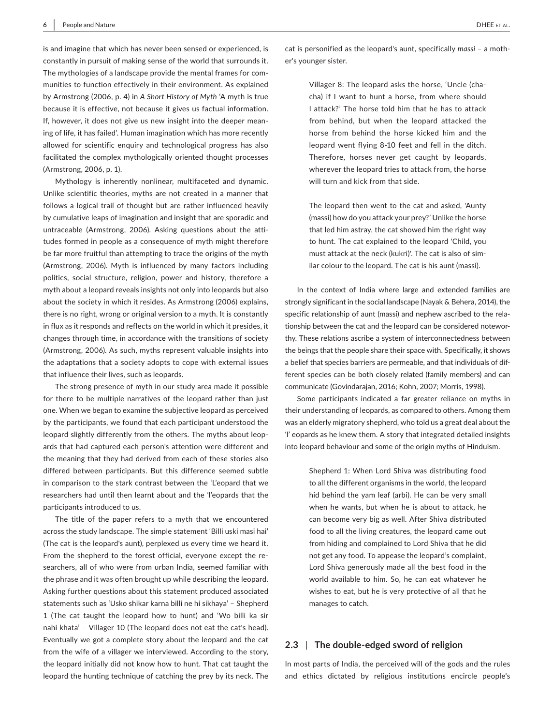is and imagine that which has never been sensed or experienced, is constantly in pursuit of making sense of the world that surrounds it. The mythologies of a landscape provide the mental frames for com‐ munities to function effectively in their environment. As explained by Armstrong (2006, p. 4) in *A Short History of Myth* 'A myth is true because it is effective, not because it gives us factual information. If, however, it does not give us new insight into the deeper mean‐ ing of life, it has failed'. Human imagination which has more recently allowed for scientific enquiry and technological progress has also facilitated the complex mythologically oriented thought processes (Armstrong, 2006, p. 1).

Mythology is inherently nonlinear, multifaceted and dynamic. Unlike scientific theories, myths are not created in a manner that follows a logical trail of thought but are rather influenced heavily by cumulative leaps of imagination and insight that are sporadic and untraceable (Armstrong, 2006). Asking questions about the atti‐ tudes formed in people as a consequence of myth might therefore be far more fruitful than attempting to trace the origins of the myth (Armstrong, 2006). Myth is influenced by many factors including politics, social structure, religion, power and history, therefore a myth about a leopard reveals insights not only into leopards but also about the society in which it resides. As Armstrong (2006) explains, there is no right, wrong or original version to a myth. It is constantly in flux as it responds and reflects on the world in which it presides, it changes through time, in accordance with the transitions of society (Armstrong, 2006). As such, myths represent valuable insights into the adaptations that a society adopts to cope with external issues that influence their lives, such as leopards.

The strong presence of myth in our study area made it possible for there to be multiple narratives of the leopard rather than just one. When we began to examine the subjective leopard as perceived by the participants, we found that each participant understood the leopard slightly differently from the others. The myths about leop‐ ards that had captured each person's attention were different and the meaning that they had derived from each of these stories also differed between participants. But this difference seemed subtle in comparison to the stark contrast between the 'L'eopard that we researchers had until then learnt about and the 'l'eopards that the participants introduced to us.

The title of the paper refers to a myth that we encountered across the study landscape. The simple statement 'Billi uski masi hai' (The cat is the leopard's aunt), perplexed us every time we heard it. From the shepherd to the forest official, everyone except the re‐ searchers, all of who were from urban India, seemed familiar with the phrase and it was often brought up while describing the leopard. Asking further questions about this statement produced associated statements such as 'Usko shikar karna billi ne hi sikhaya' – Shepherd 1 (The cat taught the leopard how to hunt) and 'Wo billi ka sir nahi khata' – Villager 10 (The leopard does not eat the cat's head). Eventually we got a complete story about the leopard and the cat from the wife of a villager we interviewed. According to the story, the leopard initially did not know how to hunt. That cat taught the leopard the hunting technique of catching the prey by its neck. The

cat is personified as the leopard's aunt, specifically *massi* – a moth‐ er's younger sister.

> Villager 8: The leopard asks the horse, 'Uncle (cha‐ cha) if I want to hunt a horse, from where should I attack?' The horse told him that he has to attack from behind, but when the leopard attacked the horse from behind the horse kicked him and the leopard went flying 8‐10 feet and fell in the ditch. Therefore, horses never get caught by leopards, wherever the leopard tries to attack from, the horse will turn and kick from that side.

> The leopard then went to the cat and asked, 'Aunty (massi) how do you attack your prey?' Unlike the horse that led him astray, the cat showed him the right way to hunt. The cat explained to the leopard 'Child, you must attack at the neck (kukri)'. The cat is also of sim‐ ilar colour to the leopard. The cat is his aunt (massi).

In the context of India where large and extended families are strongly significant in the social landscape (Nayak & Behera, 2014), the specific relationship of aunt (massi) and nephew ascribed to the relationship between the cat and the leopard can be considered notewor‐ thy. These relations ascribe a system of interconnectedness between the beings that the people share their space with. Specifically, it shows a belief that species barriers are permeable, and that individuals of dif‐ ferent species can be both closely related (family members) and can communicate (Govindarajan, 2016; Kohn, 2007; Morris, 1998).

Some participants indicated a far greater reliance on myths in their understanding of leopards, as compared to others. Among them was an elderly migratory shepherd, who told us a great deal about the 'l' eopards as he knew them. A story that integrated detailed insights into leopard behaviour and some of the origin myths of Hinduism.

> Shepherd 1: When Lord Shiva was distributing food to all the different organisms in the world, the leopard hid behind the yam leaf (arbi). He can be very small when he wants, but when he is about to attack, he can become very big as well. After Shiva distributed food to all the living creatures, the leopard came out from hiding and complained to Lord Shiva that he did not get any food. To appease the leopard's complaint, Lord Shiva generously made all the best food in the world available to him. So, he can eat whatever he wishes to eat, but he is very protective of all that he manages to catch.

## **2.3** | **The double‐edged sword of religion**

In most parts of India, the perceived will of the gods and the rules and ethics dictated by religious institutions encircle people's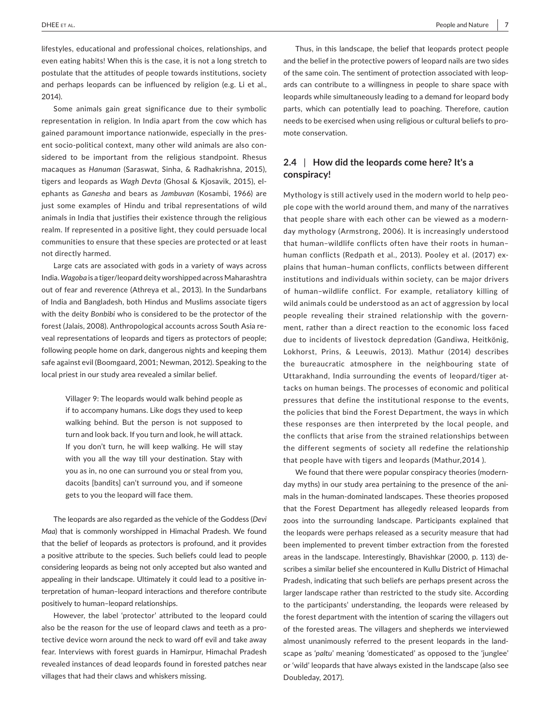lifestyles, educational and professional choices, relationships, and even eating habits! When this is the case, it is not a long stretch to postulate that the attitudes of people towards institutions, society and perhaps leopards can be influenced by religion (e.g. Li et al., 2014).

Some animals gain great significance due to their symbolic representation in religion. In India apart from the cow which has gained paramount importance nationwide, especially in the pres‐ ent socio-political context, many other wild animals are also considered to be important from the religious standpoint. Rhesus macaques as *Hanuman* (Saraswat, Sinha, & Radhakrishna, 2015), tigers and leopards as *Wagh Devta* (Ghosal & Kjosavik, 2015), el‐ ephants as *Ganesha* and bears as *Jambuvan* (Kosambi, 1966) are just some examples of Hindu and tribal representations of wild animals in India that justifies their existence through the religious realm. If represented in a positive light, they could persuade local communities to ensure that these species are protected or at least not directly harmed.

Large cats are associated with gods in a variety of ways across India. *Wagoba* is a tiger/leopard deityworshipped acrossMaharashtra out of fear and reverence (Athreya et al., 2013). In the Sundarbans of India and Bangladesh, both Hindus and Muslims associate tigers with the deity *Bonbibi* who is considered to be the protector of the forest (Jalais, 2008). Anthropological accounts across South Asia re‐ veal representations of leopards and tigers as protectors of people; following people home on dark, dangerous nights and keeping them safe against evil (Boomgaard, 2001; Newman, 2012). Speaking to the local priest in our study area revealed a similar belief.

> Villager 9: The leopards would walk behind people as if to accompany humans. Like dogs they used to keep walking behind. But the person is not supposed to turn and look back. If you turn and look, he will attack. If you don't turn, he will keep walking. He will stay with you all the way till your destination. Stay with you as in, no one can surround you or steal from you, dacoits [bandits] can't surround you, and if someone gets to you the leopard will face them.

The leopards are also regarded as the vehicle of the Goddess (*Devi Maa*) that is commonly worshipped in Himachal Pradesh. We found that the belief of leopards as protectors is profound, and it provides a positive attribute to the species. Such beliefs could lead to people considering leopards as being not only accepted but also wanted and appealing in their landscape. Ultimately it could lead to a positive in‐ terpretation of human–leopard interactions and therefore contribute positively to human–leopard relationships.

However, the label 'protector' attributed to the leopard could also be the reason for the use of leopard claws and teeth as a pro‐ tective device worn around the neck to ward off evil and take away fear. Interviews with forest guards in Hamirpur, Himachal Pradesh revealed instances of dead leopards found in forested patches near villages that had their claws and whiskers missing.

Thus, in this landscape, the belief that leopards protect people and the belief in the protective powers of leopard nails are two sides of the same coin. The sentiment of protection associated with leop‐ ards can contribute to a willingness in people to share space with leopards while simultaneously leading to a demand for leopard body parts, which can potentially lead to poaching. Therefore, caution needs to be exercised when using religious or cultural beliefs to pro‐ mote conservation.

# **2.4** | **How did the leopards come here? It's a conspiracy!**

Mythology is still actively used in the modern world to help peo‐ ple cope with the world around them, and many of the narratives that people share with each other can be viewed as a modern‐ day mythology (Armstrong, 2006). It is increasingly understood that human–wildlife conflicts often have their roots in human– human conflicts (Redpath et al., 2013). Pooley et al. (2017) ex‐ plains that human–human conflicts, conflicts between different institutions and individuals within society, can be major drivers of human–wildlife conflict. For example, retaliatory killing of wild animals could be understood as an act of aggression by local people revealing their strained relationship with the government, rather than a direct reaction to the economic loss faced due to incidents of livestock depredation (Gandiwa, Heitkönig, Lokhorst, Prins, & Leeuwis, 2013). Mathur (2014) describes the bureaucratic atmosphere in the neighbouring state of Uttarakhand, India surrounding the events of leopard/tiger at‐ tacks on human beings. The processes of economic and political pressures that define the institutional response to the events, the policies that bind the Forest Department, the ways in which these responses are then interpreted by the local people, and the conflicts that arise from the strained relationships between the different segments of society all redefine the relationship that people have with tigers and leopards (Mathur,2014 ).

We found that there were popular conspiracy theories (modernday myths) in our study area pertaining to the presence of the ani‐ mals in the human‐dominated landscapes. These theories proposed that the Forest Department has allegedly released leopards from zoos into the surrounding landscape. Participants explained that the leopards were perhaps released as a security measure that had been implemented to prevent timber extraction from the forested areas in the landscape. Interestingly, Bhavishkar (2000, p. 113) de‐ scribes a similar belief she encountered in Kullu District of Himachal Pradesh, indicating that such beliefs are perhaps present across the larger landscape rather than restricted to the study site. According to the participants' understanding, the leopards were released by the forest department with the intention of scaring the villagers out of the forested areas. The villagers and shepherds we interviewed almost unanimously referred to the present leopards in the land‐ scape as '*paltu*' meaning 'domesticated' as opposed to the 'junglee' or 'wild' leopards that have always existed in the landscape (also see Doubleday, 2017).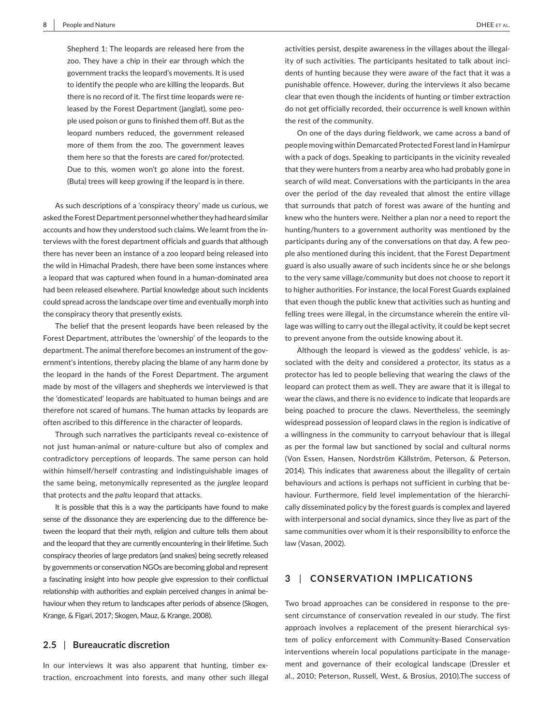Shepherd 1: The leopards are released here from the zoo. They have a chip in their ear through which the government tracks the leopard's movements. It is used to identify the people who are killing the leopards. But there is no record of it. The first time leopards were re‐ leased by the Forest Department (janglat), some peo‐ ple used poison or guns to finished them off. But as the leopard numbers reduced, the government released more of them from the zoo. The government leaves them here so that the forests are cared for/protected. Due to this, women won't go alone into the forest. (Buta) trees will keep growing if the leopard is in there.

As such descriptions of a 'conspiracy theory' made us curious, we asked the Forest Department personnel whether they had heard similar accounts and how they understood such claims. We learnt from the in‐ terviews with the forest department officials and guards that although there has never been an instance of a zoo leopard being released into the wild in Himachal Pradesh, there have been some instances where a leopard that was captured when found in a human‐dominated area had been released elsewhere. Partial knowledge about such incidents could spread across the landscape over time and eventually morph into the conspiracy theory that presently exists.

The belief that the present leopards have been released by the Forest Department, attributes the 'ownership' of the leopards to the department. The animal therefore becomes an instrument of the government's intentions, thereby placing the blame of any harm done by the leopard in the hands of the Forest Department. The argument made by most of the villagers and shepherds we interviewed is that the 'domesticated' leopards are habituated to human beings and are therefore not scared of humans. The human attacks by leopards are often ascribed to this difference in the character of leopards.

Through such narratives the participants reveal co-existence of not just human‐animal or nature‐culture but also of complex and contradictory perceptions of leopards. The same person can hold within himself/herself contrasting and indistinguishable images of the same being, metonymically represented as the *junglee* leopard that protects and the *paltu* leopard that attacks.

It is possible that this is a way the participants have found to make sense of the dissonance they are experiencing due to the difference between the leopard that their myth, religion and culture tells them about and the leopard that they are currently encountering in their lifetime. Such conspiracy theories of large predators (and snakes) being secretly released by governments or conservation NGOs are becoming global and represent a fascinating insight into how people give expression to their conflictual relationship with authorities and explain perceived changes in animal be‐ haviour when they return to landscapes after periods of absence (Skogen, Krange, & Figari, 2017; Skogen, Mauz, & Krange, 2008).

#### **2.5** | **Bureaucratic discretion**

In our interviews it was also apparent that hunting, timber extraction, encroachment into forests, and many other such illegal

activities persist, despite awareness in the villages about the illegal‐ ity of such activities. The participants hesitated to talk about inci‐ dents of hunting because they were aware of the fact that it was a punishable offence. However, during the interviews it also became clear that even though the incidents of hunting or timber extraction do not get officially recorded, their occurrence is well known within the rest of the community.

On one of the days during fieldwork, we came across a band of people moving within Demarcated Protected Forest land in Hamirpur with a pack of dogs. Speaking to participants in the vicinity revealed that they were hunters from a nearby area who had probably gone in search of wild meat. Conversations with the participants in the area over the period of the day revealed that almost the entire village that surrounds that patch of forest was aware of the hunting and knew who the hunters were. Neither a plan nor a need to report the hunting/hunters to a government authority was mentioned by the participants during any of the conversations on that day. A few peo‐ ple also mentioned during this incident, that the Forest Department guard is also usually aware of such incidents since he or she belongs to the very same village/community but does not choose to report it to higher authorities. For instance, the local Forest Guards explained that even though the public knew that activities such as hunting and felling trees were illegal, in the circumstance wherein the entire vil‐ lage was willing to carry out the illegal activity, it could be kept secret to prevent anyone from the outside knowing about it.

Although the leopard is viewed as the goddess' vehicle, is associated with the deity and considered a protector, its status as a protector has led to people believing that wearing the claws of the leopard can protect them as well. They are aware that it is illegal to wear the claws, and there is no evidence to indicate that leopards are being poached to procure the claws. Nevertheless, the seemingly widespread possession of leopard claws in the region is indicative of a willingness in the community to carryout behaviour that is illegal as per the formal law but sanctioned by social and cultural norms (Von Essen, Hansen, Nordström Källström, Peterson, & Peterson, 2014). This indicates that awareness about the illegality of certain behaviours and actions is perhaps not sufficient in curbing that be‐ haviour. Furthermore, field level implementation of the hierarchically disseminated policy by the forest guards is complex and layered with interpersonal and social dynamics, since they live as part of the same communities over whom it is their responsibility to enforce the law (Vasan, 2002).

# **3** | **CONSERVATION IMPLICATIONS**

Two broad approaches can be considered in response to the pre‐ sent circumstance of conservation revealed in our study. The first approach involves a replacement of the present hierarchical system of policy enforcement with Community‐Based Conservation interventions wherein local populations participate in the manage‐ ment and governance of their ecological landscape (Dressler et al., 2010; Peterson, Russell, West, & Brosius, 2010).The success of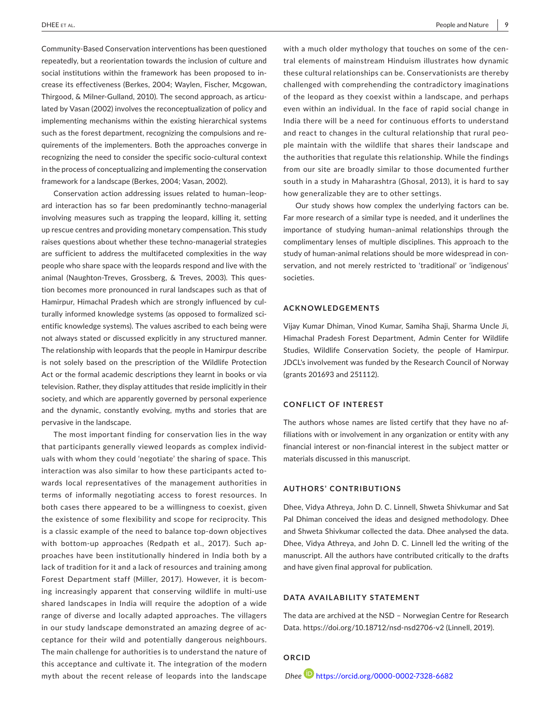Community‐Based Conservation interventions has been questioned repeatedly, but a reorientation towards the inclusion of culture and social institutions within the framework has been proposed to in‐ crease its effectiveness (Berkes, 2004; Waylen, Fischer, Mcgowan, Thirgood, & Milner‐Gulland, 2010). The second approach, as articu‐ lated by Vasan (2002) involves the reconceptualization of policy and implementing mechanisms within the existing hierarchical systems such as the forest department, recognizing the compulsions and re‐ quirements of the implementers. Both the approaches converge in recognizing the need to consider the specific socio‐cultural context in the process of conceptualizing and implementing the conservation framework for a landscape (Berkes, 2004; Vasan, 2002).

Conservation action addressing issues related to human–leop‐ ard interaction has so far been predominantly techno‐managerial involving measures such as trapping the leopard, killing it, setting up rescue centres and providing monetary compensation. This study raises questions about whether these techno‐managerial strategies are sufficient to address the multifaceted complexities in the way people who share space with the leopards respond and live with the animal (Naughton-Treves, Grossberg, & Treves, 2003). This question becomes more pronounced in rural landscapes such as that of Hamirpur, Himachal Pradesh which are strongly influenced by cul‐ turally informed knowledge systems (as opposed to formalized sci‐ entific knowledge systems). The values ascribed to each being were not always stated or discussed explicitly in any structured manner. The relationship with leopards that the people in Hamirpur describe is not solely based on the prescription of the Wildlife Protection Act or the formal academic descriptions they learnt in books or via television. Rather, they display attitudes that reside implicitly in their society, and which are apparently governed by personal experience and the dynamic, constantly evolving, myths and stories that are pervasive in the landscape.

The most important finding for conservation lies in the way that participants generally viewed leopards as complex individ‐ uals with whom they could 'negotiate' the sharing of space. This interaction was also similar to how these participants acted towards local representatives of the management authorities in terms of informally negotiating access to forest resources. In both cases there appeared to be a willingness to coexist, given the existence of some flexibility and scope for reciprocity. This is a classic example of the need to balance top-down objectives with bottom‐up approaches (Redpath et al., 2017). Such ap‐ proaches have been institutionally hindered in India both by a lack of tradition for it and a lack of resources and training among Forest Department staff (Miller, 2017). However, it is becom‐ ing increasingly apparent that conserving wildlife in multi‐use shared landscapes in India will require the adoption of a wide range of diverse and locally adapted approaches. The villagers in our study landscape demonstrated an amazing degree of ac‐ ceptance for their wild and potentially dangerous neighbours. The main challenge for authorities is to understand the nature of this acceptance and cultivate it. The integration of the modern myth about the recent release of leopards into the landscape

with a much older mythology that touches on some of the central elements of mainstream Hinduism illustrates how dynamic these cultural relationships can be. Conservationists are thereby challenged with comprehending the contradictory imaginations of the leopard as they coexist within a landscape, and perhaps even within an individual. In the face of rapid social change in India there will be a need for continuous efforts to understand and react to changes in the cultural relationship that rural peo‐ ple maintain with the wildlife that shares their landscape and the authorities that regulate this relationship. While the findings from our site are broadly similar to those documented further south in a study in Maharashtra (Ghosal, 2013), it is hard to say how generalizable they are to other settings.

Our study shows how complex the underlying factors can be. Far more research of a similar type is needed, and it underlines the importance of studying human–animal relationships through the complimentary lenses of multiple disciplines. This approach to the study of human‐animal relations should be more widespread in con‐ servation, and not merely restricted to 'traditional' or 'indigenous' societies.

## **ACKNOWLEDGEMENTS**

Vijay Kumar Dhiman, Vinod Kumar, Samiha Shaji, Sharma Uncle Ji, Himachal Pradesh Forest Department, Admin Center for Wildlife Studies, Wildlife Conservation Society, the people of Hamirpur. JDCL's involvement was funded by the Research Council of Norway (grants 201693 and 251112).

#### **CONFLICT OF INTEREST**

The authors whose names are listed certify that they have no af‐ filiations with or involvement in any organization or entity with any financial interest or non‐financial interest in the subject matter or materials discussed in this manuscript.

## **AUTHORS' CONTRIBUTIONS**

Dhee, Vidya Athreya, John D. C. Linnell, Shweta Shivkumar and Sat Pal Dhiman conceived the ideas and designed methodology. Dhee and Shweta Shivkumar collected the data. Dhee analysed the data. Dhee, Vidya Athreya, and John D. C. Linnell led the writing of the manuscript. All the authors have contributed critically to the drafts and have given final approval for publication.

#### **DATA AVAILABILITY STATEMENT**

The data are archived at the NSD – Norwegian Centre for Research Data.<https://doi.org/10.18712/nsd-nsd2706-v2> (Linnell, 2019).

**ORCID**  *Dhee* <https://orcid.org/0000-0002-7328-6682>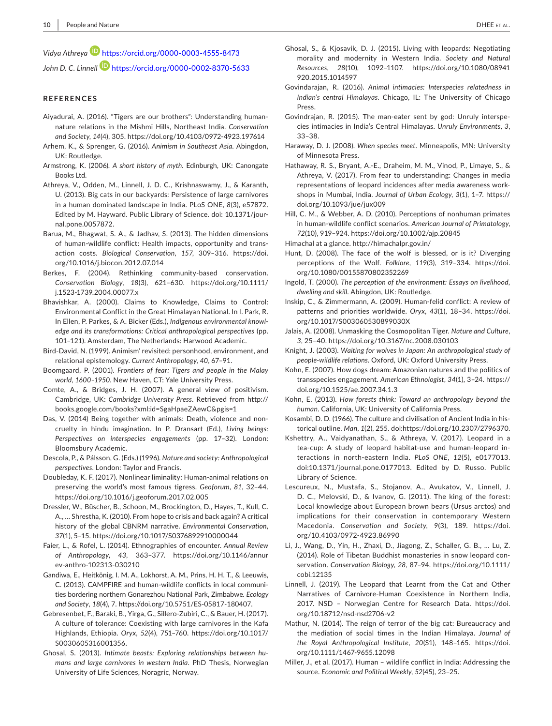*Vidya Athreya* <https://orcid.org/0000-0003-4555-8473> *John D. C. Linnell* <https://orcid.org/0000-0002-8370-5633>

#### **REFERENCES**

- Aiyadurai, A. (2016). "Tigers are our brothers": Understanding human‐ nature relations in the Mishmi Hills, Northeast India. *Conservation and Society*, *14*(4), 305. <https://doi.org/10.4103/0972-4923.197614>
- Arhem, K., & Sprenger, G. (2016). *Animism in Southeast Asia*. Abingdon, UK: Routledge.
- Armstrong, K. (2006). *A short history of myth*. Edinburgh, UK: Canongate Books Ltd.
- Athreya, V., Odden, M., Linnell, J. D. C., Krishnaswamy, J., & Karanth, U. (2013). Big cats in our backyards: Persistence of large carnivores in a human dominated landscape in India. PLoS ONE, *8*(3), e57872. Edited by M. Hayward. Public Library of Science. doi: 10.1371/jour‐ nal.pone.0057872.
- Barua, M., Bhagwat, S. A., & Jadhav, S. (2013). The hidden dimensions of human‐wildlife conflict: Health impacts, opportunity and trans‐ action costs. *Biological Conservation*, *157*, 309–316. [https://doi.](https://doi.org/10.1016/j.biocon.2012.07.014) [org/10.1016/j.biocon.2012.07.014](https://doi.org/10.1016/j.biocon.2012.07.014)
- Berkes, F. (2004). Rethinking community‐based conservation. *Conservation Biology*, *18*(3), 621–630. [https://doi.org/10.1111/](https://doi.org/10.1111/j.1523-1739.2004.00077.x) [j.1523-1739.2004.00077.x](https://doi.org/10.1111/j.1523-1739.2004.00077.x)
- Bhavishkar, A. (2000). Claims to Knowledge, Claims to Control: Environmental Conflict in the Great Himalayan National. In I. Park, R. In Ellen, P. Parkes, & A. Bicker (Eds.), *Indigenous environmental knowl‐ edge and its transformations: Critical anthropological perspectives* (pp. 101–121). Amsterdam, The Netherlands: Harwood Academic.
- Bird‐David, N. (1999). Animism' revisited: personhood, environment, and relational epistemology. *Current Anthropology*, *40*, 67–91.
- Boomgaard, P. (2001). *Frontiers of fear: Tigers and people in the Malay world, 1600–1950*. New Haven, CT: Yale University Press.
- Comte, A., & Bridges, J. H. (2007). A general view of positivism. Cambridge, UK: *Cambridge University Press*. Retrieved from http:// books.google.com/books?xml:id=SgaHpaeZAewC&pgis=1
- Das, V. (2014) Being together with animals: Death, violence and noncruelty in hindu imagination. In P. Dransart (Ed.), *Living beings: Perspectives on interspecies engagements* (pp. 17–32). London: Bloomsbury Academic.
- Descola, P., & Pálsson, G. (Eds.) (1996). *Nature and society: Anthropological perspectives*. London: Taylor and Francis.
- Doubleday, K. F. (2017). Nonlinear liminality: Human‐animal relations on preserving the world's most famous tigress. *Geoforum*, *81*, 32–44. <https://doi.org/10.1016/j.geoforum.2017.02.005>
- Dressler, W., Büscher, B., Schoon, M., Brockington, D., Hayes, T., Kull, C. A., … Shrestha, K. (2010). From hope to crisis and back again? A critical history of the global CBNRM narrative. *Environmental Conservation*, *37*(1), 5–15. <https://doi.org/10.1017/S0376892910000044>
- Faier, L., & Rofel, L. (2014). Ethnographies of encounter. *Annual Review of Anthropology*, *43*, 363–377. [https://doi.org/10.1146/annur](https://doi.org/10.1146/annurev-anthro-102313-030210) [ev-anthro-102313-030210](https://doi.org/10.1146/annurev-anthro-102313-030210)
- Gandiwa, E., Heitkönig, I. M. A., Lokhorst, A. M., Prins, H. H. T., & Leeuwis, C. (2013). CAMPFIRE and human-wildlife conflicts in local communi‐ ties bordering northern Gonarezhou National Park, Zimbabwe*. Ecology and Society*, *18*(4), 7. [https://doi.org/10.5751/ES-05817-180407.](https://doi.org/10.5751/ES-05817-180407)
- Gebresenbet, F., Baraki, B., Yirga, G., Sillero‐Zubiri, C., & Bauer, H. (2017). A culture of tolerance: Coexisting with large carnivores in the Kafa Highlands, Ethiopia. *Oryx*, *52*(4), 751–760. [https://doi.org/10.1017/](https://doi.org/10.1017/S0030605316001356) [S0030605316001356](https://doi.org/10.1017/S0030605316001356).
- Ghosal, S. (2013). *Intimate beasts: Exploring relationships between hu‐ mans and large carnivores in western India*. PhD Thesis, Norwegian University of Life Sciences, Noragric, Norway.
- Ghosal, S., & Kjosavik, D. J. (2015). Living with leopards: Negotiating morality and modernity in Western India. *Society and Natural Resources*, *28*(10), 1092–1107. [https://doi.org/10.1080/08941](https://doi.org/10.1080/08941920.2015.1014597) [920.2015.1014597](https://doi.org/10.1080/08941920.2015.1014597)
- Govindarajan, R. (2016). *Animal intimacies: Interspecies relatedness in Indian's central Himalayas*. Chicago, IL: The University of Chicago Press.
- Govindrajan, R. (2015). The man‐eater sent by god: Unruly interspe‐ cies intimacies in India's Central Himalayas. *Unruly Environments*, *3*, 33–38.
- Haraway, D. J. (2008). *When species meet*. Minneapolis, MN: University of Minnesota Press.
- Hathaway, R. S., Bryant, A.‐E., Draheim, M. M., Vinod, P., Limaye, S., & Athreya, V. (2017). From fear to understanding: Changes in media representations of leopard incidences after media awareness work‐ shops in Mumbai, India. *Journal of Urban Ecology*, *3*(1), 1–7. [https://](https://doi.org/10.1093/jue/jux009) [doi.org/10.1093/jue/jux009](https://doi.org/10.1093/jue/jux009)
- Hill, C. M., & Webber, A. D. (2010). Perceptions of nonhuman primates in human‐wildlife conflict scenarios. *American Journal of Primatology*, *72*(10), 919–924. <https://doi.org/10.1002/ajp.20845>
- Himachal at a glance. http://himachalpr.gov.in/
- Hunt, D. (2008). The face of the wolf is blessed, or is it? Diverging perceptions of the Wolf. *Folklore*, *119*(3), 319–334. [https://doi.](https://doi.org/10.1080/00155870802352269) [org/10.1080/00155870802352269](https://doi.org/10.1080/00155870802352269)
- Ingold, T. (2000). *The perception of the environment: Essays on livelihood, dwelling and skill*. Abingdon, UK: Routledge.
- Inskip, C., & Zimmermann, A. (2009). Human‐felid conflict: A review of patterns and priorities worldwide. *Oryx*, *43*(1), 18–34. [https://doi.](https://doi.org/10.1017/S003060530899030X) [org/10.1017/S003060530899030X](https://doi.org/10.1017/S003060530899030X)
- Jalais, A. (2008). Unmasking the Cosmopolitan Tiger. *Nature and Culture*, *3*, 25–40. <https://doi.org/10.3167/nc.2008.030103>
- Knight, J. (2003). *Waiting for wolves in Japan: An anthropological study of people‐wildlife relations*. Oxford, UK: Oxford University Press.
- Kohn, E. (2007). How dogs dream: Amazonian natures and the politics of transspecies engagement. *American Ethnologist*, *34*(1), 3–24. [https://](https://doi.org/10.1525/ae.2007.34.1.3) [doi.org/10.1525/ae.2007.34.1.3](https://doi.org/10.1525/ae.2007.34.1.3)
- Kohn, E. (2013). *How forests think: Toward an anthropology beyond the human*. California, UK: University of California Press.
- Kosambi, D. D. (1966). The culture and civilisation of Ancient India in his‐ torical outline. *Man*, *1*(2), 255. doi[:https://doi.org/10.2307/2796370.](https://doi.org/10.2307/2796370)
- Kshettry, A., Vaidyanathan, S., & Athreya, V. (2017). Leopard in a tea‐cup: A study of leopard habitat‐use and human‐leopard in‐ teractions in north‐eastern India. *PLoS ONE*, *12*(5), e0177013. doi:10.1371/journal.pone.0177013. Edited by D. Russo. Public Library of Science.
- Lescureux, N., Mustafa, S., Stojanov, A., Avukatov, V., Linnell, J. D. C., Melovski, D., & Ivanov, G. (2011). The king of the forest: Local knowledge about European brown bears (Ursus arctos) and implications for their conservation in contemporary Western Macedonia. *Conservation and Society*, *9*(3), 189. [https://doi.](https://doi.org/10.4103/0972-4923.86990) [org/10.4103/0972-4923.86990](https://doi.org/10.4103/0972-4923.86990)
- Li, J., Wang, D., Yin, H., Zhaxi, D., Jiagong, Z., Schaller, G. B., … Lu, Z. (2014). Role of Tibetan Buddhist monasteries in snow leopard con‐ servation. *Conservation Biology*, *28*, 87–94. [https://doi.org/10.1111/](https://doi.org/10.1111/cobi.12135) [cobi.12135](https://doi.org/10.1111/cobi.12135)
- Linnell, J. (2019). The Leopard that Learnt from the Cat and Other Narratives of Carnivore‐Human Coexistence in Northern India, 2017. NSD – Norwegian Centre for Research Data. [https://doi.](https://doi.org/10.18712/nsd-nsd2706-v2) [org/10.18712/nsd-nsd2706-v2](https://doi.org/10.18712/nsd-nsd2706-v2)
- Mathur, N. (2014). The reign of terror of the big cat: Bureaucracy and the mediation of social times in the Indian Himalaya. *Journal of the Royal Anthropological Institute*, *20*(S1), 148–165. [https://doi.](https://doi.org/10.1111/1467-9655.12098) [org/10.1111/1467-9655.12098](https://doi.org/10.1111/1467-9655.12098)
- Miller, J., et al. (2017). Human wildlife conflict in India: Addressing the source. *Economic and Political Weekly*, *52*(45), 23–25.